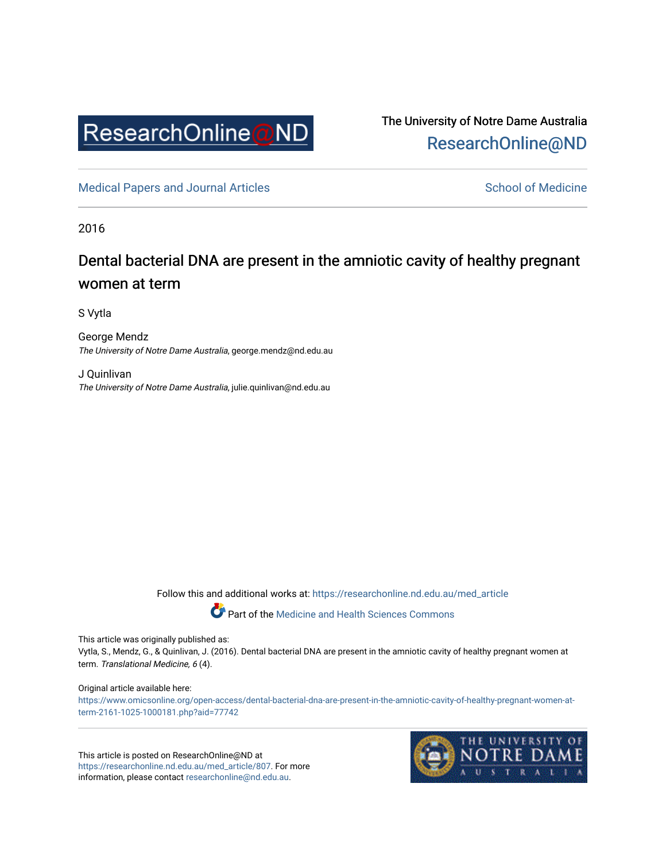

The University of Notre Dame Australia [ResearchOnline@ND](https://researchonline.nd.edu.au/) 

[Medical Papers and Journal Articles](https://researchonline.nd.edu.au/med_article) and School of Medicine

2016

# Dental bacterial DNA are present in the amniotic cavity of healthy pregnant women at term

S Vytla

George Mendz The University of Notre Dame Australia, george.mendz@nd.edu.au

J Quinlivan The University of Notre Dame Australia, julie.quinlivan@nd.edu.au

Follow this and additional works at: [https://researchonline.nd.edu.au/med\\_article](https://researchonline.nd.edu.au/med_article?utm_source=researchonline.nd.edu.au%2Fmed_article%2F807&utm_medium=PDF&utm_campaign=PDFCoverPages) 

Part of the [Medicine and Health Sciences Commons](http://network.bepress.com/hgg/discipline/648?utm_source=researchonline.nd.edu.au%2Fmed_article%2F807&utm_medium=PDF&utm_campaign=PDFCoverPages)

This article was originally published as:

Vytla, S., Mendz, G., & Quinlivan, J. (2016). Dental bacterial DNA are present in the amniotic cavity of healthy pregnant women at term. Translational Medicine, 6 (4).

#### Original article available here:

[https://www.omicsonline.org/open-access/dental-bacterial-dna-are-present-in-the-amniotic-cavity-of-healthy-pregnant-women-at](https://www.omicsonline.org/open-access/dental-bacterial-dna-are-present-in-the-amniotic-cavity-of-healthy-pregnant-women-at-term-2161-1025-1000181.php?aid=77742)[term-2161-1025-1000181.php?aid=77742](https://www.omicsonline.org/open-access/dental-bacterial-dna-are-present-in-the-amniotic-cavity-of-healthy-pregnant-women-at-term-2161-1025-1000181.php?aid=77742)

This article is posted on ResearchOnline@ND at [https://researchonline.nd.edu.au/med\\_article/807](https://researchonline.nd.edu.au/med_article/807). For more information, please contact [researchonline@nd.edu.au.](mailto:researchonline@nd.edu.au)

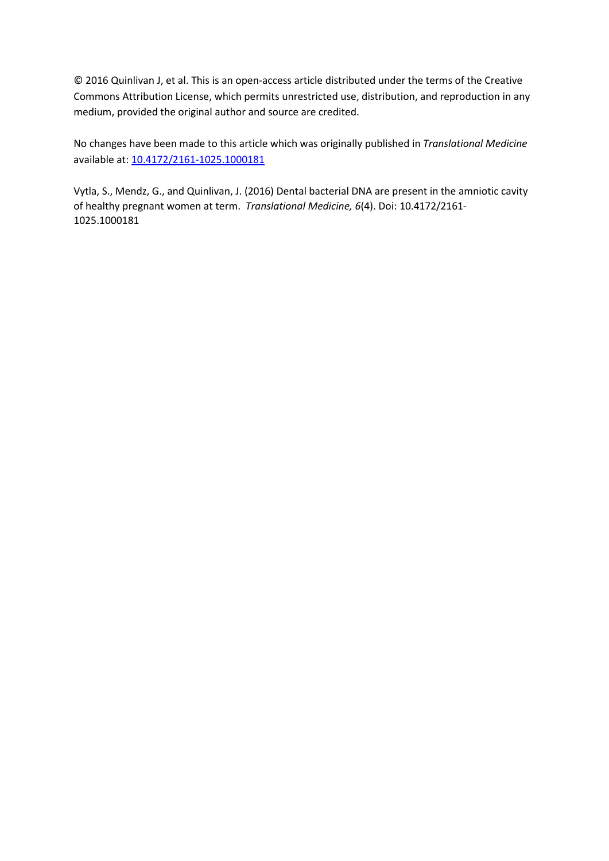© 2016 Quinlivan J, et al. This is an open-access article distributed under the terms of the Creative Commons Attribution License, which permits unrestricted use, distribution, and reproduction in any medium, provided the original author and source are credited.

No changes have been made to this article which was originally published in *Translational Medicine* available at[: 10.4172/2161-1025.1000181](https://dx.doi.org/10.4172/2161-1025.1000181)

Vytla, S., Mendz, G., and Quinlivan, J. (2016) Dental bacterial DNA are present in the amniotic cavity of healthy pregnant women at term. *Translational Medicine, 6*(4). Doi: 10.4172/2161- 1025.1000181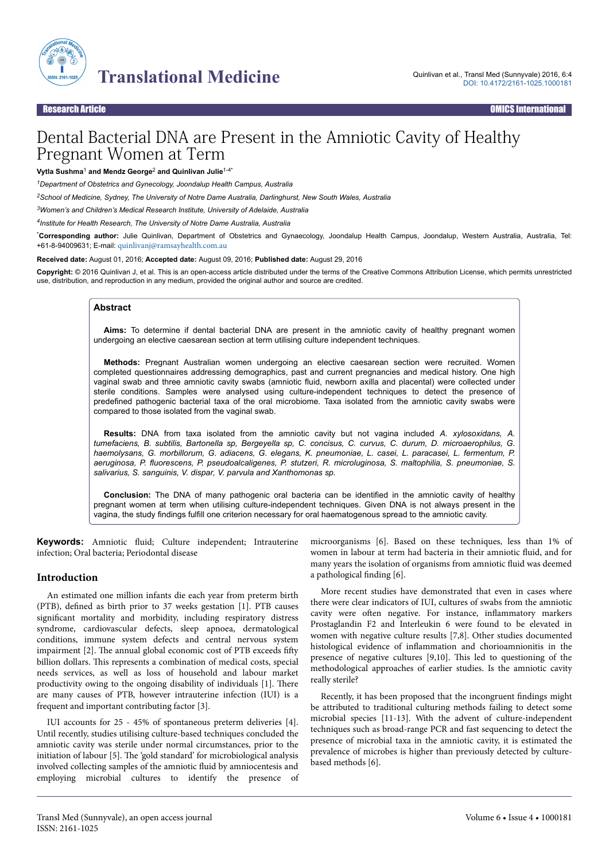

# Dental Bacterial DNA are Present in the Amniotic Cavity of Healthy Pregnant Women at Term

**Vytla Sushma**<sup>1</sup>  **and Mendz George**<sup>2</sup>  **and Quinlivan Julie**1-4\*

*<sup>1</sup>Department of Obstetrics and Gynecology, Joondalup Health Campus, Australia*

*<sup>2</sup>School of Medicine, Sydney, The University of Notre Dame Australia, Darlinghurst, New South Wales, Australia*

*<sup>3</sup>Women's and Children's Medical Research Institute, University of Adelaide, Australia*

*4 Institute for Health Research, The University of Notre Dame Australia, Australia*

\***Corresponding author:** Julie Quinlivan, Department of Obstetrics and Gynaecology, Joondalup Health Campus, Joondalup, Western Australia, Australia, Tel: +61-8-94009631; E-mail: [quinlivanj@ramsayhealth.com.au](mailto:quinlivanj@ramsayhealth.com.au)

**Received date:** August 01, 2016; **Accepted date:** August 09, 2016; **Published date:** August 29, 2016

**Copyright:** © 2016 Quinlivan J, et al. This is an open-access article distributed under the terms of the Creative Commons Attribution License, which permits unrestricted use, distribution, and reproduction in any medium, provided the original author and source are credited.

## **Abstract**

**Aims:** To determine if dental bacterial DNA are present in the amniotic cavity of healthy pregnant women undergoing an elective caesarean section at term utilising culture independent techniques.

**Methods:** Pregnant Australian women undergoing an elective caesarean section were recruited. Women completed questionnaires addressing demographics, past and current pregnancies and medical history. One high vaginal swab and three amniotic cavity swabs (amniotic fluid, newborn axilla and placental) were collected under sterile conditions. Samples were analysed using culture-independent techniques to detect the presence of predefined pathogenic bacterial taxa of the oral microbiome. Taxa isolated from the amniotic cavity swabs were compared to those isolated from the vaginal swab.

**Results:** DNA from taxa isolated from the amniotic cavity but not vagina included *A. xylosoxidans, A. tumefaciens, B. subtilis, Bartonella sp, Bergeyella sp, C. concisus, C. curvus, C. durum, D. microaerophilus, G. haemolysans, G. morbillorum, G. adiacens, G. elegans, K. pneumoniae, L. casei, L. paracasei, L. fermentum, P. aeruginosa, P. fluorescens, P. pseudoalcaligenes, P. stutzeri, R. microluginosa, S. maltophilia, S. pneumoniae, S. salivarius, S. sanguinis, V. dispar, V. parvula and Xanthomonas sp.*

**Conclusion:** The DNA of many pathogenic oral bacteria can be identified in the amniotic cavity of healthy pregnant women at term when utilising culture-independent techniques. Given DNA is not always present in the vagina, the study findings fulfill one criterion necessary for oral haematogenous spread to the amniotic cavity.

Keywords: Amniotic fluid; Culture independent; Intrauterine infection; Oral bacteria; Periodontal disease

#### **Introduction**

An estimated one million infants die each year from preterm birth (PTB), defined as birth prior to 37 weeks gestation [1]. PTB causes significant mortality and morbidity, including respiratory distress syndrome, cardiovascular defects, sleep apnoea, dermatological conditions, immune system defects and central nervous system impairment [2]. The annual global economic cost of PTB exceeds fifty billion dollars. Нis represents a combination of medical costs, special needs services, as well as loss of household and labour market productivity owing to the ongoing disability of individuals [1]. There are many causes of PTB, however intrauterine infection (IUI) is a frequent and important contributing factor [3].

IUI accounts for 25 - 45% of spontaneous preterm deliveries [4]. Until recently, studies utilising culture-based techniques concluded the amniotic cavity was sterile under normal circumstances, prior to the initiation of labour [5]. Нe 'gold standard' for microbiological analysis involved collecting samples of the amniotic fluid by amniocentesis and employing microbial cultures to identify the presence of

microorganisms [6]. Based on these techniques, less than 1% of women in labour at term had bacteria in their amniotic fluid, and for many years the isolation of organisms from amniotic fluid was deemed a pathological finding [6].

More recent studies have demonstrated that even in cases where there were clear indicators of IUI, cultures of swabs from the amniotic cavity were often negative. For instance, inflammatory markers Prostaglandin F2 and Interleukin 6 were found to be elevated in women with negative culture results [7,8]. Other studies documented histological evidence of inflammation and chorioamnionitis in the presence of negative cultures [9,10]. Нis led to questioning of the methodological approaches of earlier studies. Is the amniotic cavity really sterile?

Recently, it has been proposed that the incongruent findings might be attributed to traditional culturing methods failing to detect some microbial species [11-13]. With the advent of culture-independent techniques such as broad-range PCR and fast sequencing to detect the presence of microbial taxa in the amniotic cavity, it is estimated the prevalence of microbes is higher than previously detected by culturebased methods [6].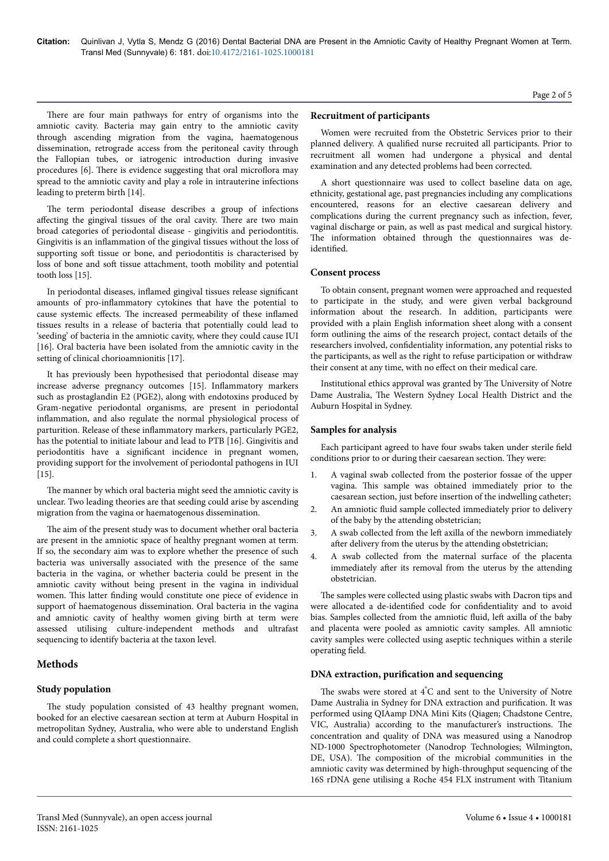There are four main pathways for entry of organisms into the amniotic cavity. Bacteria may gain entry to the amniotic cavity through ascending migration from the vagina, haematogenous dissemination, retrograde access from the peritoneal cavity through the Fallopian tubes, or iatrogenic introduction during invasive procedures [6]. Нere is evidence suggesting that oral microflora may spread to the amniotic cavity and play a role in intrauterine infections leading to preterm birth [14].

The term periodontal disease describes a group of infections affecting the gingival tissues of the oral cavity. There are two main broad categories of periodontal disease - gingivitis and periodontitis. Gingivitis is an inflammation of the gingival tissues without the loss of supporting soft tissue or bone, and periodontitis is characterised by loss of bone and soft tissue attachment, tooth mobility and potential tooth loss [15].

In periodontal diseases, inflamed gingival tissues release significant amounts of pro-inflammatory cytokines that have the potential to cause systemic effects. The increased permeability of these inflamed tissues results in a release of bacteria that potentially could lead to 'seeding' of bacteria in the amniotic cavity, where they could cause IUI [16]. Oral bacteria have been isolated from the amniotic cavity in the setting of clinical chorioamnionitis [17].

It has previously been hypothesised that periodontal disease may increase adverse pregnancy outcomes [15]. Inflammatory markers such as prostaglandin E2 (PGE2), along with endotoxins produced by Gram-negative periodontal organisms, are present in periodontal inflammation, and also regulate the normal physiological process of parturition. Release of these inflammatory markers, particularly PGE2, has the potential to initiate labour and lead to PTB [16]. Gingivitis and periodontitis have a significant incidence in pregnant women, providing support for the involvement of periodontal pathogens in IUI  $\overline{1}$ [15].

The manner by which oral bacteria might seed the amniotic cavity is unclear. Two leading theories are that seeding could arise by ascending migration from the vagina or haematogenous dissemination.

The aim of the present study was to document whether oral bacteria are present in the amniotic space of healthy pregnant women at term. If so, the secondary aim was to explore whether the presence of such bacteria was universally associated with the presence of the same bacteria in the vagina, or whether bacteria could be present in the amniotic cavity without being present in the vagina in individual women. Нis latter finding would constitute one piece of evidence in support of haematogenous dissemination. Oral bacteria in the vagina and amniotic cavity of healthy women giving birth at term were assessed utilising culture-independent methods and ultrafast sequencing to identify bacteria at the taxon level.

# **Methods**

# **Study population**

The study population consisted of 43 healthy pregnant women, booked for an elective caesarean section at term at Auburn Hospital in metropolitan Sydney, Australia, who were able to understand English and could complete a short questionnaire.

## **Recruitment of participants**

Women were recruited from the Obstetric Services prior to their planned delivery. A qualified nurse recruited all participants. Prior to recruitment all women had undergone a physical and dental examination and any detected problems had been corrected.

A short questionnaire was used to collect baseline data on age, ethnicity, gestational age, past pregnancies including any complications encountered, reasons for an elective caesarean delivery and complications during the current pregnancy such as infection, fever, vaginal discharge or pain, as well as past medical and surgical history. The information obtained through the questionnaires was deidentified.

#### **Consent process**

To obtain consent, pregnant women were approached and requested to participate in the study, and were given verbal background information about the research. In addition, participants were provided with a plain English information sheet along with a consent form outlining the aims of the research project, contact details of the researchers involved, confidentiality information, any potential risks to the participants, as well as the right to refuse participation or withdraw their consent at any time, with no effect on their medical care.

Institutional ethics approval was granted by Нe University of Notre Dame Australia, Нe Western Sydney Local Health District and the Auburn Hospital in Sydney.

#### **Samples for analysis**

Each participant agreed to have four swabs taken under sterile field conditions prior to or during their caesarean section. They were:

- 1. A vaginal swab collected from the posterior fossae of the upper vagina. Нis sample was obtained immediately prior to the caesarean section, just before insertion of the indwelling catheter;
- 2. An amniotic fluid sample collected immediately prior to delivery of the baby by the attending obstetrician;
- 3. A swab collected from the left axilla of the newborn immediately after delivery from the uterus by the attending obstetrician;
- 4. A swab collected from the maternal surface of the placenta immediately after its removal from the uterus by the attending obstetrician.

The samples were collected using plastic swabs with Dacron tips and were allocated a de-identified code for confidentiality and to avoid bias. Samples collected from the amniotic fluid, left axilla of the baby and placenta were pooled as amniotic cavity samples. All amniotic cavity samples were collected using aseptic techniques within a sterile operating field.

#### **DNA** extraction, purification and sequencing

The swabs were stored at  $4^{\circ}$ C and sent to the University of Notre Dame Australia in Sydney for DNA extraction and purification. It was performed using QIAamp DNA Mini Kits (Qiagen; Chadstone Centre, VIC, Australia) according to the manufacturer's instructions. Нe concentration and quality of DNA was measured using a Nanodrop ND-1000 Spectrophotometer (Nanodrop Technologies; Wilmington, DE, USA). Нe composition of the microbial communities in the amniotic cavity was determined by high-throughput sequencing of the 16S rDNA gene utilising a Roche 454 FLX instrument with Titanium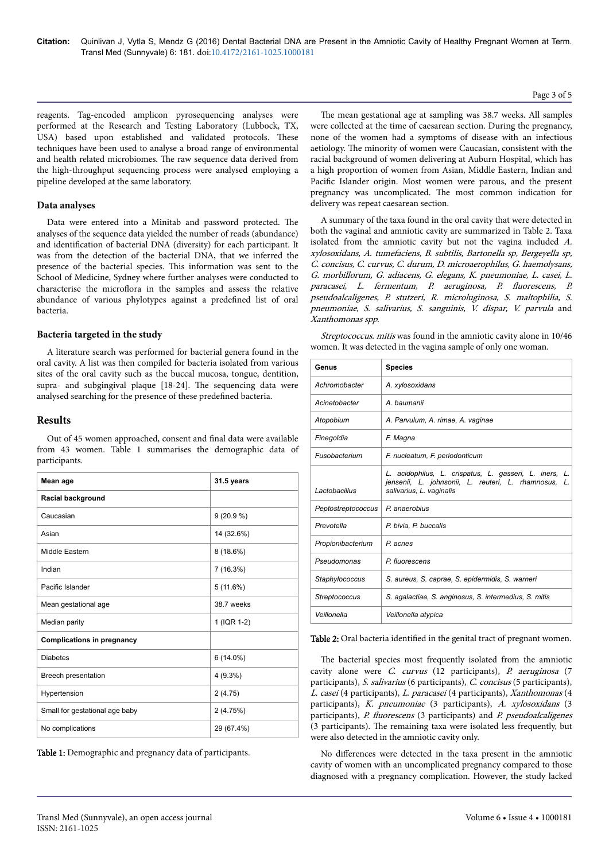### Page 3 of 5

reagents. Tag-encoded amplicon pyrosequencing analyses were performed at the Research and Testing Laboratory (Lubbock, TX, USA) based upon established and validated protocols. Нese techniques have been used to analyse a broad range of environmental and health related microbiomes. Нe raw sequence data derived from the high-throughput sequencing process were analysed employing a pipeline developed at the same laboratory.

### **Data analyses**

Data were entered into a Minitab and password protected. Нe analyses of the sequence data yielded the number of reads (abundance) and identification of bacterial DNA (diversity) for each participant. It was from the detection of the bacterial DNA, that we inferred the presence of the bacterial species. Нis information was sent to the School of Medicine, Sydney where further analyses were conducted to characterise the microflora in the samples and assess the relative abundance of various phylotypes against a predefined list of oral bacteria.

## **Bacteria targeted in the study**

A literature search was performed for bacterial genera found in the oral cavity. A list was then compiled for bacteria isolated from various sites of the oral cavity such as the buccal mucosa, tongue, dentition, supra- and subgingival plaque [18-24]. Нe sequencing data were analysed searching for the presence of these predefined bacteria.

# **Results**

Out of 45 women approached, consent and final data were available from 43 women. Table 1 summarises the demographic data of participants.

| Mean age                          | 31.5 years  |
|-----------------------------------|-------------|
| Racial background                 |             |
| Caucasian                         | $9(20.9\%)$ |
| Asian                             | 14 (32.6%)  |
| Middle Eastern                    | $8(18.6\%)$ |
| Indian                            | 7 (16.3%)   |
| Pacific Islander                  | 5(11.6%)    |
| Mean gestational age              | 38.7 weeks  |
| Median parity                     | 1 (IQR 1-2) |
| <b>Complications in pregnancy</b> |             |
| <b>Diabetes</b>                   | $6(14.0\%)$ |
| Breech presentation               | $4(9.3\%)$  |
| Hypertension                      | 2(4.75)     |
| Small for gestational age baby    | 2(4.75%)    |
| No complications                  | 29 (67.4%)  |

Table 1: Demographic and pregnancy data of participants.

The mean gestational age at sampling was 38.7 weeks. All samples were collected at the time of caesarean section. During the pregnancy, none of the women had a symptoms of disease with an infectious aetiology. Нe minority of women were Caucasian, consistent with the racial background of women delivering at Auburn Hospital, which has a high proportion of women from Asian, Middle Eastern, Indian and Pacific Islander origin. Most women were parous, and the present pregnancy was uncomplicated. Нe most common indication for delivery was repeat caesarean section.

A summary of the taxa found in the oral cavity that were detected in both the vaginal and amniotic cavity are summarized in Table 2. Taxa isolated from the amniotic cavity but not the vagina included A. xylosoxidans, A. tumefaciens, B. subtilis, Bartonella sp, Bergeyella sp, C. concisus, C. curvus, C. durum, D. microaerophilus, G. haemolysans, G. morbillorum, G. adiacens, G. elegans, K. pneumoniae, L. casei, L. paracasei, L. fermentum, P. aeruginosa, P. fluorescens, P. pseudoalcaligenes, P. stutzeri, R. microluginosa, S. maltophilia, S. pneumoniae, S. salivarius, S. sanguinis, V. dispar, V. parvula and Xanthomonas spp.

Streptococcus. mitis was found in the amniotic cavity alone in 10/46 women. It was detected in the vagina sample of only one woman.

| Genus                | <b>Species</b>                                                                                                                                |
|----------------------|-----------------------------------------------------------------------------------------------------------------------------------------------|
| Achromobacter        | A. xylosoxidans                                                                                                                               |
| Acinetobacter        | A haumanii                                                                                                                                    |
| Atopobium            | A. Parvulum, A. rimae, A. vaginae                                                                                                             |
| Finegoldia           | F. Magna                                                                                                                                      |
| Fusobacterium        | F. nucleatum, F. periodonticum                                                                                                                |
| Lactobacillus        | L. acidophilus, L. crispatus, L. gasseri, L. iners, L.<br>jensenii, L. johnsonii, L. reuteri, L. rhamnosus,<br>L.<br>salivarius, L. vaginalis |
| Peptostreptococcus   | P. anaerobius                                                                                                                                 |
| Prevotella           | P. bivia, P. buccalis                                                                                                                         |
| Propionibacterium    | P. acnes                                                                                                                                      |
| Pseudomonas          | P fluorescens                                                                                                                                 |
| Staphylococcus       | S. aureus, S. caprae, S. epidermidis, S. warneri                                                                                              |
| <b>Streptococcus</b> | S. agalactiae, S. anginosus, S. intermedius, S. mitis                                                                                         |
| Veillonella          | Veillonella atypica                                                                                                                           |

Table 2: Oral bacteria identified in the genital tract of pregnant women.

The bacterial species most frequently isolated from the amniotic cavity alone were C. curvus (12 participants), P. aeruginosa (7 participants), S. salivarius (6 participants), C. concisus (5 participants), L. casei (4 participants), L. paracasei (4 participants), Xanthomonas (4 participants), K. pneumoniae (3 participants), A. xylosoxidans (3 participants), P. fluorescens (3 participants) and P. pseudoalcaligenes (3 participants). Нe remaining taxa were isolated less frequently, but were also detected in the amniotic cavity only.

No differences were detected in the taxa present in the amniotic cavity of women with an uncomplicated pregnancy compared to those diagnosed with a pregnancy complication. However, the study lacked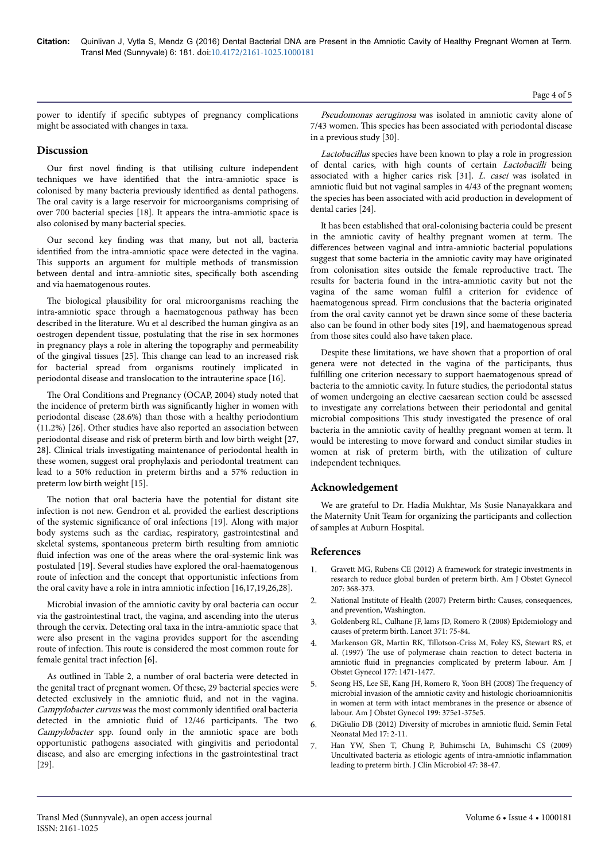power to identify if specific subtypes of pregnancy complications might be associated with changes in taxa.

# **Discussion**

Our first novel finding is that utilising culture independent techniques we have identified that the intra-amniotic space is colonised by many bacteria previously identified as dental pathogens. The oral cavity is a large reservoir for microorganisms comprising of over 700 bacterial species [18]. It appears the intra-amniotic space is also colonised by many bacterial species.

Our second key finding was that many, but not all, bacteria identified from the intra-amniotic space were detected in the vagina. This supports an argument for multiple methods of transmission between dental and intra-amniotic sites, specifically both ascending and via haematogenous routes.

The biological plausibility for oral microorganisms reaching the intra-amniotic space through a haematogenous pathway has been described in the literature. Wu et al described the human gingiva as an oestrogen dependent tissue, postulating that the rise in sex hormones in pregnancy plays a role in altering the topography and permeability of the gingival tissues [25]. Нis change can lead to an increased risk for bacterial spread from organisms routinely implicated in periodontal disease and translocation to the intrauterine space [16].

The Oral Conditions and Pregnancy (OCAP, 2004) study noted that the incidence of preterm birth was significantly higher in women with periodontal disease (28.6%) than those with a healthy periodontium (11.2%) [26]. Other studies have also reported an association between periodontal disease and risk of preterm birth and low birth weight [27, 28]. Clinical trials investigating maintenance of periodontal health in these women, suggest oral prophylaxis and periodontal treatment can lead to a 50% reduction in preterm births and a 57% reduction in preterm low birth weight [15].

The notion that oral bacteria have the potential for distant site infection is not new. Gendron et al. provided the earliest descriptions of the systemic significance of oral infections [19]. Along with major body systems such as the cardiac, respiratory, gastrointestinal and skeletal systems, spontaneous preterm birth resulting from amniotic fluid infection was one of the areas where the oral-systemic link was postulated [19]. Several studies have explored the oral-haematogenous route of infection and the concept that opportunistic infections from the oral cavity have a role in intra amniotic infection [16,17,19,26,28].

Microbial invasion of the amniotic cavity by oral bacteria can occur via the gastrointestinal tract, the vagina, and ascending into the uterus through the cervix. Detecting oral taxa in the intra-amniotic space that were also present in the vagina provides support for the ascending route of infection. Нis route is considered the most common route for female genital tract infection [6].

As outlined in Table 2, a number of oral bacteria were detected in the genital tract of pregnant women. Of these, 29 bacterial species were detected exclusively in the amniotic fluid, and not in the vagina. Campylobacter curvus was the most commonly identified oral bacteria detected in the amniotic fluid of 12/46 participants. Нe two Campylobacter spp. found only in the amniotic space are both opportunistic pathogens associated with gingivitis and periodontal disease, and also are emerging infections in the gastrointestinal tract [29].

Pseudomonas aeruginosa was isolated in amniotic cavity alone of 7/43 women. Нis species has been associated with periodontal disease in a previous study [30].

Lactobacillus species have been known to play a role in progression of dental caries, with high counts of certain Lactobacilli being associated with a higher caries risk [31]. L. casei was isolated in amniotic fluid but not vaginal samples in 4/43 of the pregnant women; the species has been associated with acid production in development of dental caries [24].

It has been established that oral-colonising bacteria could be present in the amniotic cavity of healthy pregnant women at term. Нe differences between vaginal and intra-amniotic bacterial populations suggest that some bacteria in the amniotic cavity may have originated from colonisation sites outside the female reproductive tract. Нe results for bacteria found in the intra-amniotic cavity but not the vagina of the same woman fulfil a criterion for evidence of haematogenous spread. Firm conclusions that the bacteria originated from the oral cavity cannot yet be drawn since some of these bacteria also can be found in other body sites [19], and haematogenous spread from those sites could also have taken place.

Despite these limitations, we have shown that a proportion of oral genera were not detected in the vagina of the participants, thus fulfilling one criterion necessary to support haematogenous spread of bacteria to the amniotic cavity. In future studies, the periodontal status of women undergoing an elective caesarean section could be assessed to investigate any correlations between their periodontal and genital microbial compositions Нis study investigated the presence of oral bacteria in the amniotic cavity of healthy pregnant women at term. It would be interesting to move forward and conduct similar studies in women at risk of preterm birth, with the utilization of culture independent techniques.

# **Acknowledgement**

We are grateful to Dr. Hadia Mukhtar, Ms Susie Nanayakkara and the Maternity Unit Team for organizing the participants and collection of samples at Auburn Hospital.

# **References**

- 1. [Gravett MG, Rubens CE \(2012\) A framework for strategic investments in](http://www.sciencedirect.com/science/article/pii/S0002937812009738) [research to reduce global burden of preterm birth. Am J Obstet Gynecol](http://www.sciencedirect.com/science/article/pii/S0002937812009738) [207: 368-373.](http://www.sciencedirect.com/science/article/pii/S0002937812009738)
- 2. [National Institute of Health \(2007\) Preterm birth: Causes, consequences,](http://www.ncbi.nlm.nih.gov/books/NBK11362/) [and prevention, Washington.](http://www.ncbi.nlm.nih.gov/books/NBK11362/)
- 3. [Goldenberg RL, Culhane JF, lams JD, Romero R \(2008\) Epidemiology and](http://www.sciencedirect.com/science/article/pii/S0140673608600744) [causes of preterm birth. Lancet 371: 75-84.](http://www.sciencedirect.com/science/article/pii/S0140673608600744)
- 4. [Markenson GR, Martin RK, Tillotson-Criss M, Foley KS, Stewart RS, et](http://www.sciencedirect.com/science/article/pii/S0002937897700930) al. (1997) Нe [use of polymerase chain reaction to detect bacteria in](http://www.sciencedirect.com/science/article/pii/S0002937897700930) amniotic fluid [in pregnancies complicated by preterm labour. Am J](http://www.sciencedirect.com/science/article/pii/S0002937897700930) [Obstet Gynecol 177: 1471-1477.](http://www.sciencedirect.com/science/article/pii/S0002937897700930)
- 5. [Seong HS, Lee SE, Kang JH, Romero R, Yoon BH \(2008\)](http://www.sciencedirect.com/science/article/pii/S0002937808006625) Нe frequency of [microbial invasion of the amniotic cavity and histologic chorioamnionitis](http://www.sciencedirect.com/science/article/pii/S0002937808006625) [in women at term with intact membranes in the presence or absence of](http://www.sciencedirect.com/science/article/pii/S0002937808006625) [labour. Am J Obstet Gynecol 199: 375e1-375e5.](http://www.sciencedirect.com/science/article/pii/S0002937808006625)
- 6. [DiGiulio DB \(2012\) Diversity of microbes in amniotic](http://www.sciencedirect.com/science/article/pii/S1744165X11001089) fluid. Semin Fetal [Neonatal Med 17: 2-11.](http://www.sciencedirect.com/science/article/pii/S1744165X11001089)
- 7. [Han YW, Shen T, Chung P, Buhimschi IA, Buhimschi CS \(2009\)](http://jcm.asm.org/content/47/1/38.short) [Uncultivated bacteria as etiologic agents of intra-amniotic](http://jcm.asm.org/content/47/1/38.short) inflammation [leading to preterm birth. J Clin Microbiol 47: 38-47.](http://jcm.asm.org/content/47/1/38.short)